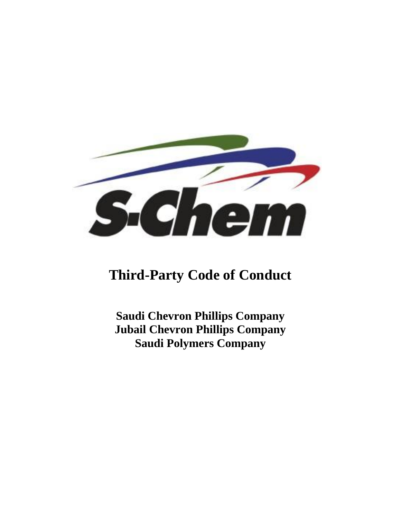

# **Third-Party Code of Conduct**

**Saudi Chevron Phillips Company Jubail Chevron Phillips Company Saudi Polymers Company**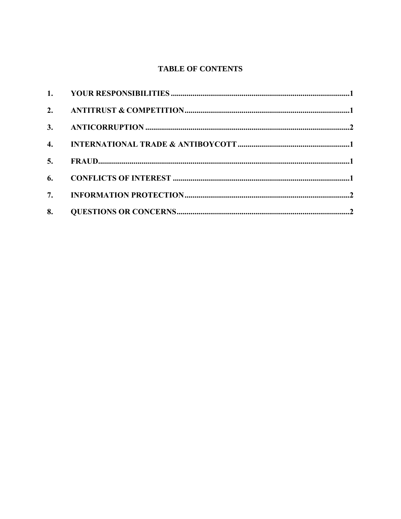# **TABLE OF CONTENTS**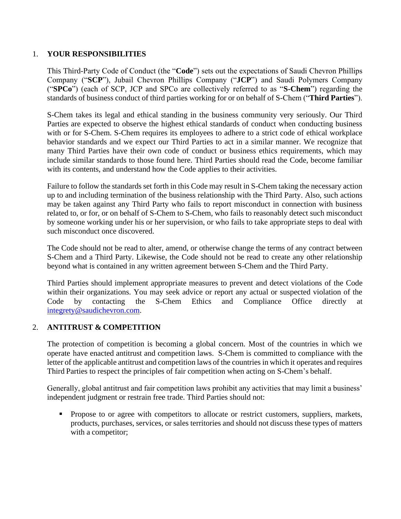# 1. **YOUR RESPONSIBILITIES**

This Third-Party Code of Conduct (the "**Code**") sets out the expectations of Saudi Chevron Phillips Company ("**SCP**"), Jubail Chevron Phillips Company ("**JCP**") and Saudi Polymers Company ("**SPCo**") (each of SCP, JCP and SPCo are collectively referred to as "**S-Chem**") regarding the standards of business conduct of third parties working for or on behalf of S-Chem ("**Third Parties**").

S-Chem takes its legal and ethical standing in the business community very seriously. Our Third Parties are expected to observe the highest ethical standards of conduct when conducting business with or for S-Chem. S-Chem requires its employees to adhere to a strict code of ethical workplace behavior standards and we expect our Third Parties to act in a similar manner. We recognize that many Third Parties have their own code of conduct or business ethics requirements, which may include similar standards to those found here. Third Parties should read the Code, become familiar with its contents, and understand how the Code applies to their activities.

Failure to follow the standards set forth in this Code may result in S-Chem taking the necessary action up to and including termination of the business relationship with the Third Party. Also, such actions may be taken against any Third Party who fails to report misconduct in connection with business related to, or for, or on behalf of S-Chem to S-Chem, who fails to reasonably detect such misconduct by someone working under his or her supervision, or who fails to take appropriate steps to deal with such misconduct once discovered.

The Code should not be read to alter, amend, or otherwise change the terms of any contract between S-Chem and a Third Party. Likewise, the Code should not be read to create any other relationship beyond what is contained in any written agreement between S-Chem and the Third Party.

Third Parties should implement appropriate measures to prevent and detect violations of the Code within their organizations. You may seek advice or report any actual or suspected violation of the Code by contacting the S-Chem Ethics and Compliance Office directly at [integrety@saudichevron.com](mailto:integrety@saudichevron.com)[.](https://secure.ethicspoint.com/domain/media/en/gui/28795/index.html)

# 2. **ANTITRUST & COMPETITION**

The protection of competition is becoming a global concern. Most of the countries in which we operate have enacted antitrust and competition laws. S-Chem is committed to compliance with the letter of the applicable antitrust and competition laws of the countries in which it operates and requires Third Parties to respect the principles of fair competition when acting on S-Chem's behalf.

Generally, global antitrust and fair competition laws prohibit any activities that may limit a business' independent judgment or restrain free trade. Third Parties should not:

**•** Propose to or agree with competitors to allocate or restrict customers, suppliers, markets, products, purchases, services, or sales territories and should not discuss these types of matters with a competitor;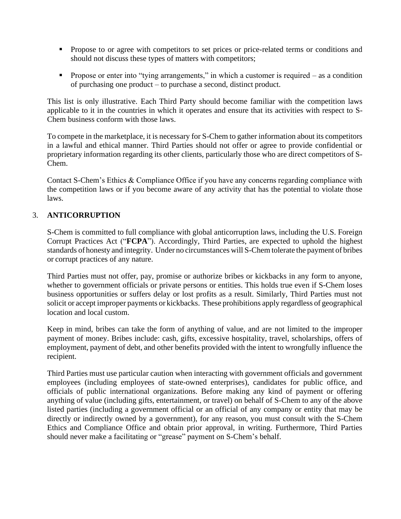- **•** Propose to or agree with competitors to set prices or price-related terms or conditions and should not discuss these types of matters with competitors;
- **•** Propose or enter into "tying arrangements," in which a customer is required as a condition of purchasing one product – to purchase a second, distinct product.

This list is only illustrative. Each Third Party should become familiar with the competition laws applicable to it in the countries in which it operates and ensure that its activities with respect to S-Chem business conform with those laws.

To compete in the marketplace, it is necessary for S-Chem to gather information about its competitors in a lawful and ethical manner. Third Parties should not offer or agree to provide confidential or proprietary information regarding its other clients, particularly those who are direct competitors of S-Chem.

Contact S-Chem's Ethics & Compliance Office if you have any concerns regarding compliance with the competition laws or if you become aware of any activity that has the potential to violate those laws.

# 3. **ANTICORRUPTION**

S-Chem is committed to full compliance with global anticorruption laws, including the U.S. Foreign Corrupt Practices Act ("**FCPA**"). Accordingly, Third Parties, are expected to uphold the highest standards of honesty and integrity. Under no circumstances will S-Chem tolerate the payment of bribes or corrupt practices of any nature.

Third Parties must not offer, pay, promise or authorize bribes or kickbacks in any form to anyone, whether to government officials or private persons or entities. This holds true even if S-Chem loses business opportunities or suffers delay or lost profits as a result. Similarly, Third Parties must not solicit or accept improper payments or kickbacks. These prohibitions apply regardless of geographical location and local custom.

Keep in mind, bribes can take the form of anything of value, and are not limited to the improper payment of money. Bribes include: cash, gifts, excessive hospitality, travel, scholarships, offers of employment, payment of debt, and other benefits provided with the intent to wrongfully influence the recipient.

Third Parties must use particular caution when interacting with government officials and government employees (including employees of state-owned enterprises), candidates for public office, and officials of public international organizations. Before making any kind of payment or offering anything of value (including gifts, entertainment, or travel) on behalf of S-Chem to any of the above listed parties (including a government official or an official of any company or entity that may be directly or indirectly owned by a government), for any reason, you must consult with the S-Chem Ethics and Compliance Office and obtain prior approval, in writing. Furthermore, Third Parties should never make a facilitating or "grease" payment on S-Chem's behalf.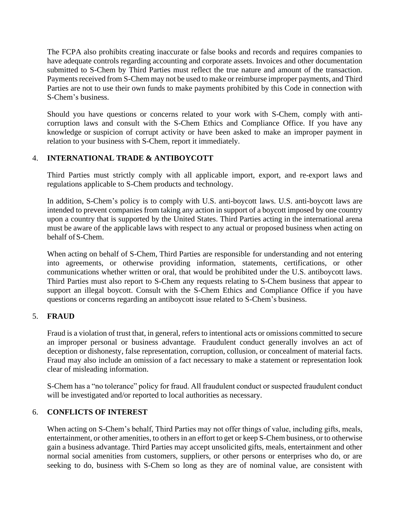The FCPA also prohibits creating inaccurate or false books and records and requires companies to have adequate controls regarding accounting and corporate assets. Invoices and other documentation submitted to S-Chem by Third Parties must reflect the true nature and amount of the transaction. Payments received from S-Chem may not be used to make or reimburse improper payments, and Third Parties are not to use their own funds to make payments prohibited by this Code in connection with S-Chem's business.

Should you have questions or concerns related to your work with S-Chem, comply with anticorruption laws and consult with the S-Chem Ethics and Compliance Office. If you have any knowledge or suspicion of corrupt activity or have been asked to make an improper payment in relation to your business with S-Chem, report it immediately.

# 4. **INTERNATIONAL TRADE & ANTIBOYCOTT**

Third Parties must strictly comply with all applicable import, export, and re-export laws and regulations applicable to S-Chem products and technology.

In addition, S-Chem's policy is to comply with U.S. anti-boycott laws. U.S. anti-boycott laws are intended to prevent companies from taking any action in support of a boycott imposed by one country upon a country that is supported by the United States. Third Parties acting in the international arena must be aware of the applicable laws with respect to any actual or proposed business when acting on behalf ofS-Chem.

When acting on behalf of S-Chem, Third Parties are responsible for understanding and not entering into agreements, or otherwise providing information, statements, certifications, or other communications whether written or oral, that would be prohibited under the U.S. antiboycott laws. Third Parties must also report to S-Chem any requests relating to S-Chem business that appear to support an illegal boycott. Consult with the S-Chem Ethics and Compliance Office if you have questions or concerns regarding an antiboycott issue related to S-Chem's business.

# 5. **FRAUD**

Fraud is a violation of trust that, in general, refers to intentional acts or omissions committed to secure an improper personal or business advantage. Fraudulent conduct generally involves an act of deception or dishonesty, false representation, corruption, collusion, or concealment of material facts. Fraud may also include an omission of a fact necessary to make a statement or representation look clear of misleading information.

S-Chem has a "no tolerance" policy for fraud. All fraudulent conduct or suspected fraudulent conduct will be investigated and/or reported to local authorities as necessary.

# 6. **CONFLICTS OF INTEREST**

When acting on S-Chem's behalf, Third Parties may not offer things of value, including gifts, meals, entertainment, or other amenities, to others in an effort to get or keep S-Chem business, or to otherwise gain a business advantage. Third Parties may accept unsolicited gifts, meals, entertainment and other normal social amenities from customers, suppliers, or other persons or enterprises who do, or are seeking to do, business with S-Chem so long as they are of nominal value, are consistent with